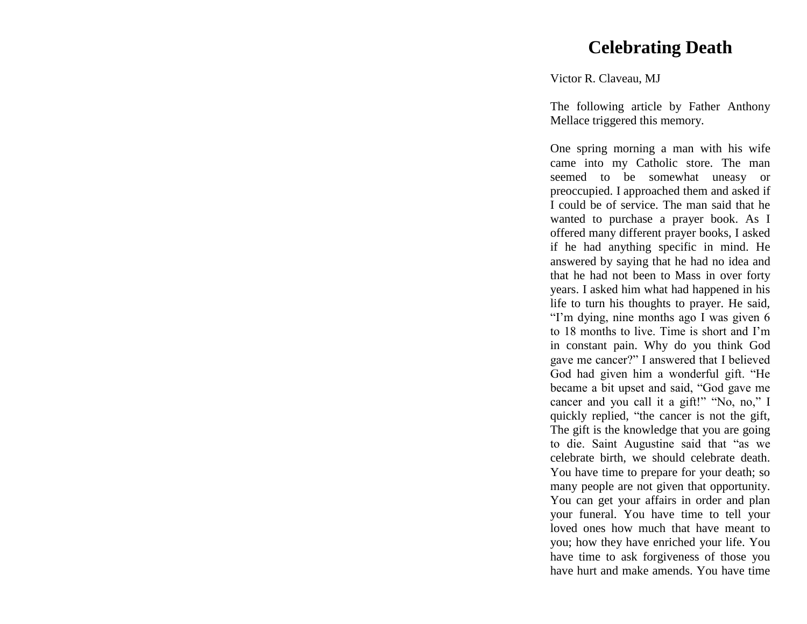## **Celebrating Death**

### Victor R. Claveau, MJ

The following article by Father Anthony Mellace triggered this memory.

One spring morning a man with his wife came into my Catholic store. The man seemed to be somewhat uneasy or preoccupied. I approached them and asked if I could be of service. The man said that he wanted to purchase a prayer book. As I offered many different prayer books, I asked if he had anything specific in mind. He answered by saying that he had no idea and that he had not been to Mass in over forty years. I asked him what had happened in his life to turn his thoughts to prayer. He said, "I'm dying, nine months ago I was given 6 to 18 months to live. Time is short and I'm in constant pain. Why do you think God gave me cancer?" I answered that I believed God had given him a wonderful gift. "He became a bit upset and said, "God gave me cancer and you call it a gift!" "No, no," I quickly replied, "the cancer is not the gift, The gift is the knowledge that you are going to die. Saint Augustine said that "as we celebrate birth, we should celebrate death. You have time to prepare for your death; so many people are not given that opportunity. You can get your affairs in order and plan your funeral. You have time to tell your loved ones how much that have meant to you; how they have enriched your life. You have time to ask forgiveness of those you have hurt and make amends. You have time